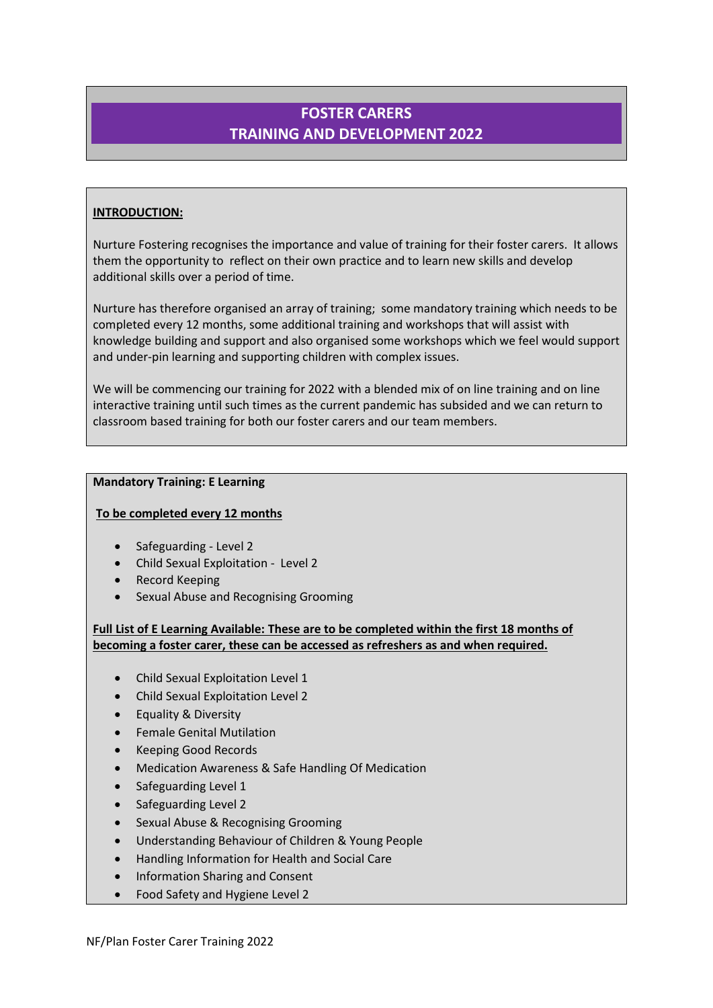# **FOSTER CARERS TRAINING AND DEVELOPMENT 2022**

# **INTRODUCTION:**

Nurture Fostering recognises the importance and value of training for their foster carers. It allows them the opportunity to reflect on their own practice and to learn new skills and develop additional skills over a period of time.

Nurture has therefore organised an array of training; some mandatory training which needs to be completed every 12 months, some additional training and workshops that will assist with knowledge building and support and also organised some workshops which we feel would support and under-pin learning and supporting children with complex issues.

We will be commencing our training for 2022 with a blended mix of on line training and on line interactive training until such times as the current pandemic has subsided and we can return to classroom based training for both our foster carers and our team members.

# **Mandatory Training: E Learning**

# **To be completed every 12 months**

- Safeguarding Level 2
- Child Sexual Exploitation Level 2
- Record Keeping
- Sexual Abuse and Recognising Grooming

**Full List of E Learning Available: These are to be completed within the first 18 months of becoming a foster carer, these can be accessed as refreshers as and when required.**

- Child Sexual Exploitation Level 1
- Child Sexual Exploitation Level 2
- Equality & Diversity
- Female Genital Mutilation
- Keeping Good Records
- Medication Awareness & Safe Handling Of Medication
- Safeguarding Level 1
- Safeguarding Level 2
- Sexual Abuse & Recognising Grooming
- Understanding Behaviour of Children & Young People
- Handling Information for Health and Social Care
- Information Sharing and Consent
- Food Safety and Hygiene Level 2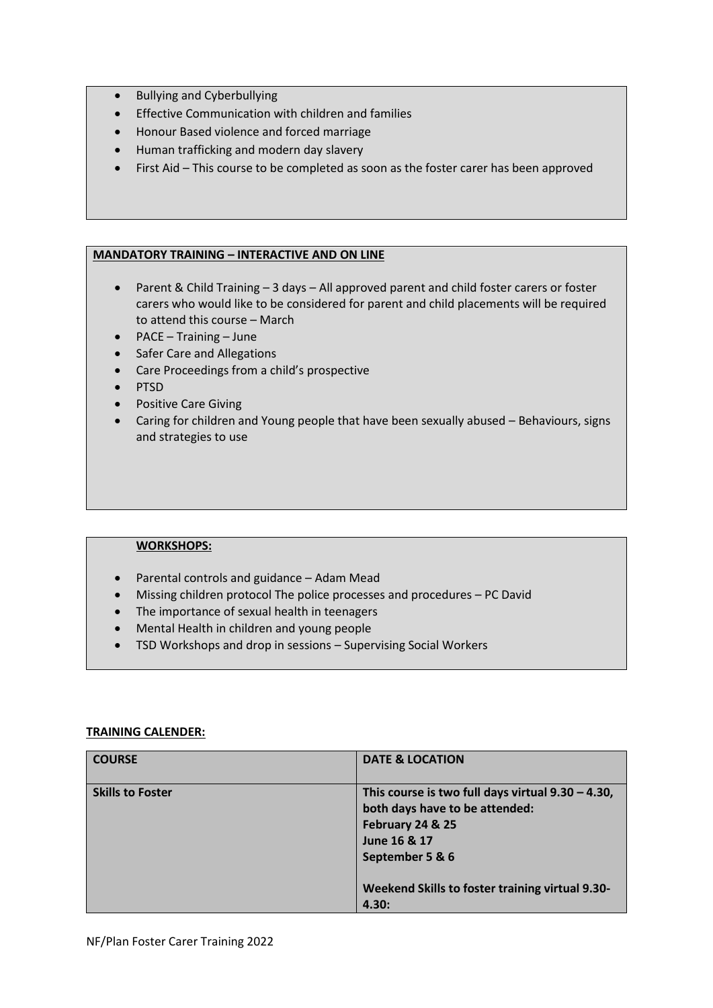- Bullying and Cyberbullying
- Effective Communication with children and families
- Honour Based violence and forced marriage
- Human trafficking and modern day slavery
- First Aid This course to be completed as soon as the foster carer has been approved

### **MANDATORY TRAINING – INTERACTIVE AND ON LINE**

- Parent & Child Training 3 days All approved parent and child foster carers or foster carers who would like to be considered for parent and child placements will be required to attend this course – March
- PACE Training June
- Safer Care and Allegations
- Care Proceedings from a child's prospective
- PTSD
- Positive Care Giving
- Caring for children and Young people that have been sexually abused Behaviours, signs and strategies to use

## **WORKSHOPS:**

- Parental controls and guidance Adam Mead
- Missing children protocol The police processes and procedures PC David
- The importance of sexual health in teenagers
- Mental Health in children and young people
- TSD Workshops and drop in sessions Supervising Social Workers

### **TRAINING CALENDER:**

| <b>COURSE</b>           | <b>DATE &amp; LOCATION</b>                                                                                                                                                                                |
|-------------------------|-----------------------------------------------------------------------------------------------------------------------------------------------------------------------------------------------------------|
| <b>Skills to Foster</b> | This course is two full days virtual $9.30 - 4.30$ ,<br>both days have to be attended:<br>February 24 & 25<br>June 16 & 17<br>September 5 & 6<br>Weekend Skills to foster training virtual 9.30-<br>4.30: |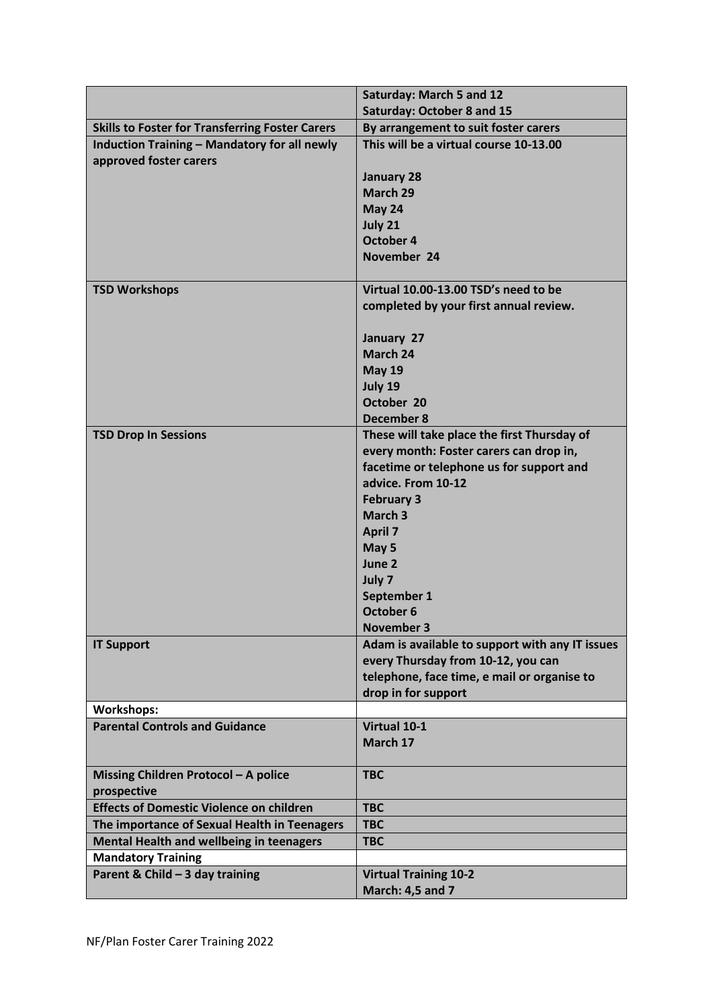|                                                                               | <b>Saturday: March 5 and 12</b>                                                     |
|-------------------------------------------------------------------------------|-------------------------------------------------------------------------------------|
|                                                                               | <b>Saturday: October 8 and 15</b>                                                   |
| <b>Skills to Foster for Transferring Foster Carers</b>                        | By arrangement to suit foster carers                                                |
| <b>Induction Training - Mandatory for all newly</b><br>approved foster carers | This will be a virtual course 10-13.00                                              |
|                                                                               | <b>January 28</b>                                                                   |
|                                                                               | March 29                                                                            |
|                                                                               | May 24                                                                              |
|                                                                               | July 21                                                                             |
|                                                                               | October 4                                                                           |
|                                                                               | November 24                                                                         |
| <b>TSD Workshops</b>                                                          | Virtual 10.00-13.00 TSD's need to be                                                |
|                                                                               | completed by your first annual review.                                              |
|                                                                               | January 27                                                                          |
|                                                                               | March 24                                                                            |
|                                                                               | <b>May 19</b>                                                                       |
|                                                                               | July 19                                                                             |
|                                                                               | October 20                                                                          |
|                                                                               | <b>December 8</b>                                                                   |
| <b>TSD Drop In Sessions</b>                                                   | These will take place the first Thursday of                                         |
|                                                                               | every month: Foster carers can drop in,<br>facetime or telephone us for support and |
|                                                                               | advice. From 10-12                                                                  |
|                                                                               | <b>February 3</b>                                                                   |
|                                                                               | March <sub>3</sub>                                                                  |
|                                                                               | <b>April 7</b>                                                                      |
|                                                                               | May 5                                                                               |
|                                                                               | June 2                                                                              |
|                                                                               | July 7                                                                              |
|                                                                               | September 1                                                                         |
|                                                                               | October 6                                                                           |
|                                                                               | <b>November 3</b>                                                                   |
| <b>IT Support</b>                                                             | Adam is available to support with any IT issues                                     |
|                                                                               | every Thursday from 10-12, you can                                                  |
|                                                                               | telephone, face time, e mail or organise to                                         |
|                                                                               | drop in for support                                                                 |
| <b>Workshops:</b><br><b>Parental Controls and Guidance</b>                    | Virtual 10-1                                                                        |
|                                                                               | March 17                                                                            |
|                                                                               |                                                                                     |
| Missing Children Protocol - A police<br>prospective                           | <b>TBC</b>                                                                          |
| <b>Effects of Domestic Violence on children</b>                               | <b>TBC</b>                                                                          |
| The importance of Sexual Health in Teenagers                                  | <b>TBC</b>                                                                          |
| <b>Mental Health and wellbeing in teenagers</b>                               | <b>TBC</b>                                                                          |
| <b>Mandatory Training</b>                                                     |                                                                                     |
| Parent & Child - 3 day training                                               | <b>Virtual Training 10-2</b>                                                        |
|                                                                               | <b>March: 4,5 and 7</b>                                                             |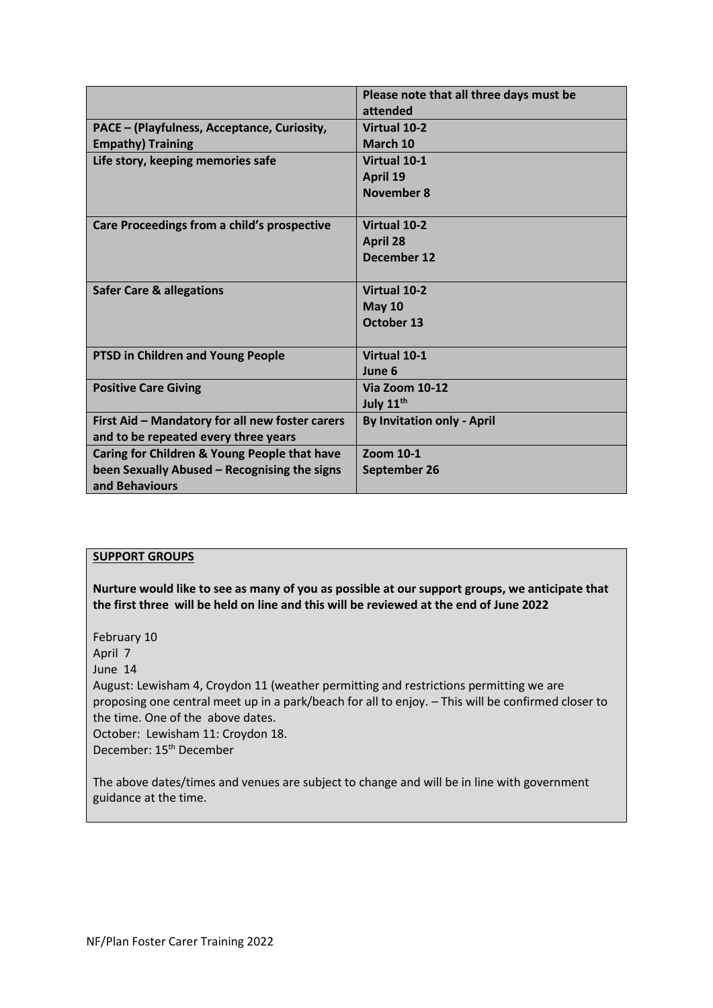|                                                                                                                | Please note that all three days must be<br>attended   |
|----------------------------------------------------------------------------------------------------------------|-------------------------------------------------------|
| PACE - (Playfulness, Acceptance, Curiosity,<br><b>Empathy) Training</b>                                        | <b>Virtual 10-2</b><br>March 10                       |
| Life story, keeping memories safe                                                                              | Virtual 10-1<br>April 19<br>November 8                |
| Care Proceedings from a child's prospective                                                                    | <b>Virtual 10-2</b><br><b>April 28</b><br>December 12 |
| <b>Safer Care &amp; allegations</b>                                                                            | <b>Virtual 10-2</b><br><b>May 10</b><br>October 13    |
| PTSD in Children and Young People                                                                              | Virtual 10-1<br>June 6                                |
| <b>Positive Care Giving</b>                                                                                    | <b>Via Zoom 10-12</b><br>July 11 <sup>th</sup>        |
| First Aid - Mandatory for all new foster carers<br>and to be repeated every three years                        | <b>By Invitation only - April</b>                     |
| Caring for Children & Young People that have<br>been Sexually Abused - Recognising the signs<br>and Behaviours | Zoom 10-1<br>September 26                             |

### **SUPPORT GROUPS**

**Nurture would like to see as many of you as possible at our support groups, we anticipate that the first three will be held on line and this will be reviewed at the end of June 2022**

February 10

April 7

June 14

August: Lewisham 4, Croydon 11 (weather permitting and restrictions permitting we are proposing one central meet up in a park/beach for all to enjoy. – This will be confirmed closer to the time. One of the above dates.

October: Lewisham 11: Croydon 18.

December: 15th December

The above dates/times and venues are subject to change and will be in line with government guidance at the time.